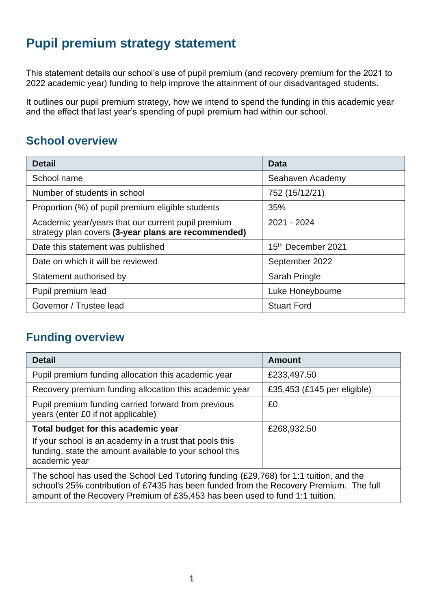## **Pupil premium strategy statement**

This statement details our school's use of pupil premium (and recovery premium for the 2021 to 2022 academic year) funding to help improve the attainment of our disadvantaged students.

It outlines our pupil premium strategy, how we intend to spend the funding in this academic year and the effect that last year's spending of pupil premium had within our school.

### **School overview**

| <b>Detail</b>                                                                                             | <b>Data</b>                    |
|-----------------------------------------------------------------------------------------------------------|--------------------------------|
| School name                                                                                               | Seahaven Academy               |
| Number of students in school                                                                              | 752 (15/12/21)                 |
| Proportion (%) of pupil premium eligible students                                                         | 35%                            |
| Academic year/years that our current pupil premium<br>strategy plan covers (3-year plans are recommended) | 2021 - 2024                    |
| Date this statement was published                                                                         | 15 <sup>th</sup> December 2021 |
| Date on which it will be reviewed                                                                         | September 2022                 |
| Statement authorised by                                                                                   | Sarah Pringle                  |
| Pupil premium lead                                                                                        | Luke Honeybourne               |
| Governor / Trustee lead                                                                                   | <b>Stuart Ford</b>             |

#### **Funding overview**

| <b>Detail</b>                                                                                                                                                                    | <b>Amount</b>                 |  |
|----------------------------------------------------------------------------------------------------------------------------------------------------------------------------------|-------------------------------|--|
| Pupil premium funding allocation this academic year                                                                                                                              | £233,497.50                   |  |
| Recovery premium funding allocation this academic year                                                                                                                           | £35,453 $(E145$ per eligible) |  |
| Pupil premium funding carried forward from previous<br>years (enter £0 if not applicable)                                                                                        | £0                            |  |
| Total budget for this academic year                                                                                                                                              | £268,932.50                   |  |
| If your school is an academy in a trust that pools this<br>funding, state the amount available to your school this<br>academic year                                              |                               |  |
| The school has used the School Led Tutoring funding (£29,768) for 1:1 tuition, and the<br>cohool's 25% contribution of £7425 has been funded from the Pecovary Promium. The full |                               |  |

school's 25% contribution of £7435 has been funded from the Recovery Premium. The full amount of the Recovery Premium of £35,453 has been used to fund 1:1 tuition.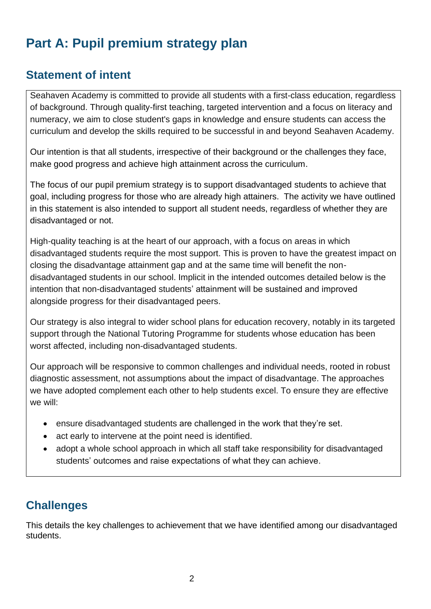# **Part A: Pupil premium strategy plan**

#### **Statement of intent**

Seahaven Academy is committed to provide all students with a first-class education, regardless of background. Through quality-first teaching, targeted intervention and a focus on literacy and numeracy, we aim to close student's gaps in knowledge and ensure students can access the curriculum and develop the skills required to be successful in and beyond Seahaven Academy.

Our intention is that all students, irrespective of their background or the challenges they face, make good progress and achieve high attainment across the curriculum.

The focus of our pupil premium strategy is to support disadvantaged students to achieve that goal, including progress for those who are already high attainers. The activity we have outlined in this statement is also intended to support all student needs, regardless of whether they are disadvantaged or not.

High-quality teaching is at the heart of our approach, with a focus on areas in which disadvantaged students require the most support. This is proven to have the greatest impact on closing the disadvantage attainment gap and at the same time will benefit the nondisadvantaged students in our school. Implicit in the intended outcomes detailed below is the intention that non-disadvantaged students' attainment will be sustained and improved alongside progress for their disadvantaged peers.

Our strategy is also integral to wider school plans for education recovery, notably in its targeted support through the National Tutoring Programme for students whose education has been worst affected, including non-disadvantaged students.

Our approach will be responsive to common challenges and individual needs, rooted in robust diagnostic assessment, not assumptions about the impact of disadvantage. The approaches we have adopted complement each other to help students excel. To ensure they are effective we will:

- ensure disadvantaged students are challenged in the work that they're set.
- act early to intervene at the point need is identified.
- adopt a whole school approach in which all staff take responsibility for disadvantaged students' outcomes and raise expectations of what they can achieve.

## **Challenges**

This details the key challenges to achievement that we have identified among our disadvantaged students.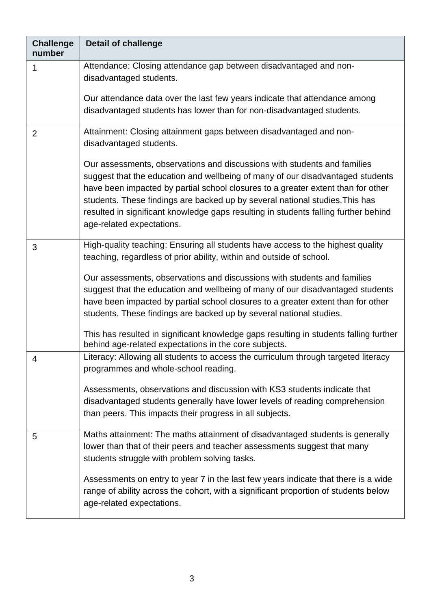| <b>Challenge</b><br>number | <b>Detail of challenge</b>                                                                                                                                                                                                                                                                                                                                                                                                                                                                                                                                                                                                         |
|----------------------------|------------------------------------------------------------------------------------------------------------------------------------------------------------------------------------------------------------------------------------------------------------------------------------------------------------------------------------------------------------------------------------------------------------------------------------------------------------------------------------------------------------------------------------------------------------------------------------------------------------------------------------|
| 1                          | Attendance: Closing attendance gap between disadvantaged and non-<br>disadvantaged students.                                                                                                                                                                                                                                                                                                                                                                                                                                                                                                                                       |
|                            | Our attendance data over the last few years indicate that attendance among<br>disadvantaged students has lower than for non-disadvantaged students.                                                                                                                                                                                                                                                                                                                                                                                                                                                                                |
| $\overline{2}$             | Attainment: Closing attainment gaps between disadvantaged and non-<br>disadvantaged students.                                                                                                                                                                                                                                                                                                                                                                                                                                                                                                                                      |
|                            | Our assessments, observations and discussions with students and families<br>suggest that the education and wellbeing of many of our disadvantaged students<br>have been impacted by partial school closures to a greater extent than for other<br>students. These findings are backed up by several national studies. This has<br>resulted in significant knowledge gaps resulting in students falling further behind<br>age-related expectations.                                                                                                                                                                                 |
| 3                          | High-quality teaching: Ensuring all students have access to the highest quality<br>teaching, regardless of prior ability, within and outside of school.<br>Our assessments, observations and discussions with students and families<br>suggest that the education and wellbeing of many of our disadvantaged students<br>have been impacted by partial school closures to a greater extent than for other<br>students. These findings are backed up by several national studies.<br>This has resulted in significant knowledge gaps resulting in students falling further<br>behind age-related expectations in the core subjects. |
| 4                          | Literacy: Allowing all students to access the curriculum through targeted literacy<br>programmes and whole-school reading.<br>Assessments, observations and discussion with KS3 students indicate that<br>disadvantaged students generally have lower levels of reading comprehension<br>than peers. This impacts their progress in all subjects.                                                                                                                                                                                                                                                                                  |
| 5                          | Maths attainment: The maths attainment of disadvantaged students is generally<br>lower than that of their peers and teacher assessments suggest that many<br>students struggle with problem solving tasks.<br>Assessments on entry to year 7 in the last few years indicate that there is a wide<br>range of ability across the cohort, with a significant proportion of students below<br>age-related expectations.                                                                                                                                                                                                               |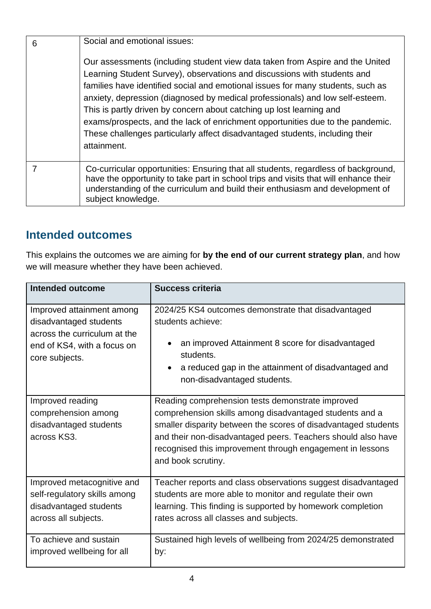| 6 | Social and emotional issues:<br>Our assessments (including student view data taken from Aspire and the United<br>Learning Student Survey), observations and discussions with students and<br>families have identified social and emotional issues for many students, such as<br>anxiety, depression (diagnosed by medical professionals) and low self-esteem.<br>This is partly driven by concern about catching up lost learning and<br>exams/prospects, and the lack of enrichment opportunities due to the pandemic.<br>These challenges particularly affect disadvantaged students, including their<br>attainment. |
|---|------------------------------------------------------------------------------------------------------------------------------------------------------------------------------------------------------------------------------------------------------------------------------------------------------------------------------------------------------------------------------------------------------------------------------------------------------------------------------------------------------------------------------------------------------------------------------------------------------------------------|
| 7 | Co-curricular opportunities: Ensuring that all students, regardless of background,<br>have the opportunity to take part in school trips and visits that will enhance their<br>understanding of the curriculum and build their enthusiasm and development of<br>subject knowledge.                                                                                                                                                                                                                                                                                                                                      |

### **Intended outcomes**

This explains the outcomes we are aiming for **by the end of our current strategy plan**, and how we will measure whether they have been achieved.

| <b>Intended outcome</b>                                                                                                              | <b>Success criteria</b>                                                                                                                                                                                                                                                                                                          |
|--------------------------------------------------------------------------------------------------------------------------------------|----------------------------------------------------------------------------------------------------------------------------------------------------------------------------------------------------------------------------------------------------------------------------------------------------------------------------------|
| Improved attainment among<br>disadvantaged students<br>across the curriculum at the<br>end of KS4, with a focus on<br>core subjects. | 2024/25 KS4 outcomes demonstrate that disadvantaged<br>students achieve:<br>an improved Attainment 8 score for disadvantaged<br>students.<br>a reduced gap in the attainment of disadvantaged and<br>non-disadvantaged students.                                                                                                 |
| Improved reading<br>comprehension among<br>disadvantaged students<br>across KS3.                                                     | Reading comprehension tests demonstrate improved<br>comprehension skills among disadvantaged students and a<br>smaller disparity between the scores of disadvantaged students<br>and their non-disadvantaged peers. Teachers should also have<br>recognised this improvement through engagement in lessons<br>and book scrutiny. |
| Improved metacognitive and<br>self-regulatory skills among<br>disadvantaged students<br>across all subjects.                         | Teacher reports and class observations suggest disadvantaged<br>students are more able to monitor and regulate their own<br>learning. This finding is supported by homework completion<br>rates across all classes and subjects.                                                                                                 |
| To achieve and sustain<br>improved wellbeing for all                                                                                 | Sustained high levels of wellbeing from 2024/25 demonstrated<br>by:                                                                                                                                                                                                                                                              |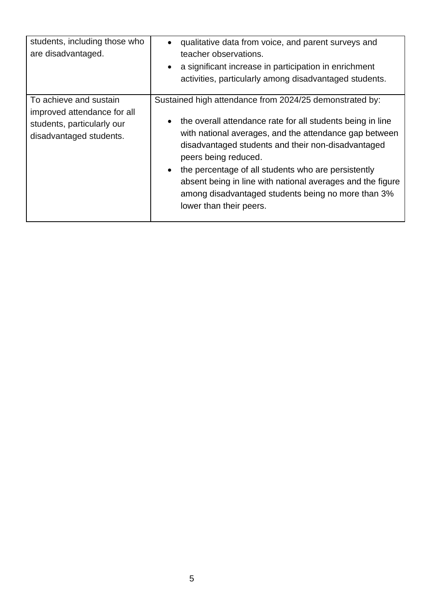| students, including those who<br>are disadvantaged.                                                            | qualitative data from voice, and parent surveys and<br>$\bullet$<br>teacher observations.<br>a significant increase in participation in enrichment<br>$\bullet$<br>activities, particularly among disadvantaged students.                                                                                                                                                                                                                                                        |
|----------------------------------------------------------------------------------------------------------------|----------------------------------------------------------------------------------------------------------------------------------------------------------------------------------------------------------------------------------------------------------------------------------------------------------------------------------------------------------------------------------------------------------------------------------------------------------------------------------|
| To achieve and sustain<br>improved attendance for all<br>students, particularly our<br>disadvantaged students. | Sustained high attendance from 2024/25 demonstrated by:<br>the overall attendance rate for all students being in line<br>with national averages, and the attendance gap between<br>disadvantaged students and their non-disadvantaged<br>peers being reduced.<br>the percentage of all students who are persistently<br>$\bullet$<br>absent being in line with national averages and the figure<br>among disadvantaged students being no more than 3%<br>lower than their peers. |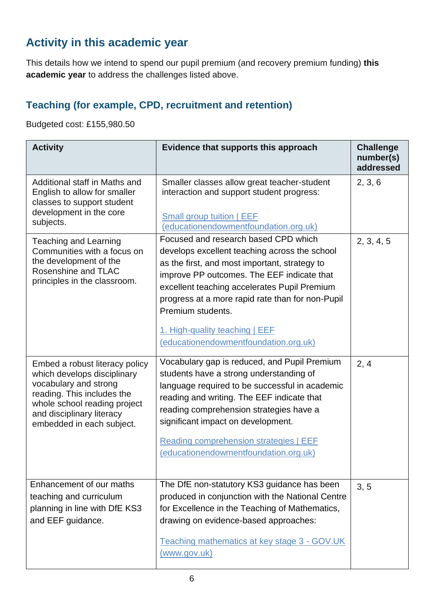## **Activity in this academic year**

This details how we intend to spend our pupil premium (and recovery premium funding) **this academic year** to address the challenges listed above.

#### **Teaching (for example, CPD, recruitment and retention)**

Budgeted cost: £155,980.50

| <b>Activity</b>                                                                                                                                                                                                | Evidence that supports this approach                                                                                                                                                                                                                                                                                                                                                     | <b>Challenge</b><br>number(s)<br>addressed |
|----------------------------------------------------------------------------------------------------------------------------------------------------------------------------------------------------------------|------------------------------------------------------------------------------------------------------------------------------------------------------------------------------------------------------------------------------------------------------------------------------------------------------------------------------------------------------------------------------------------|--------------------------------------------|
| Additional staff in Maths and<br>English to allow for smaller<br>classes to support student<br>development in the core<br>subjects.                                                                            | Smaller classes allow great teacher-student<br>interaction and support student progress:<br><b>Small group tuition   EEF</b><br>(educationendowmentfoundation.org.uk)                                                                                                                                                                                                                    | 2, 3, 6                                    |
| Teaching and Learning<br>Communities with a focus on<br>the development of the<br>Rosenshine and TLAC<br>principles in the classroom.                                                                          | Focused and research based CPD which<br>develops excellent teaching across the school<br>as the first, and most important, strategy to<br>improve PP outcomes. The EEF indicate that<br>excellent teaching accelerates Pupil Premium<br>progress at a more rapid rate than for non-Pupil<br>Premium students.<br>1. High-quality teaching   EEF<br>(educationendowmentfoundation.org.uk) | 2, 3, 4, 5                                 |
| Embed a robust literacy policy<br>which develops disciplinary<br>vocabulary and strong<br>reading. This includes the<br>whole school reading project<br>and disciplinary literacy<br>embedded in each subject. | Vocabulary gap is reduced, and Pupil Premium<br>students have a strong understanding of<br>language required to be successful in academic<br>reading and writing. The EEF indicate that<br>reading comprehension strategies have a<br>significant impact on development.<br><b>Reading comprehension strategies   EEF</b><br>(educationendowmentfoundation.org.uk)                       | 2, 4                                       |
| Enhancement of our maths<br>teaching and curriculum<br>planning in line with DfE KS3<br>and EEF guidance.                                                                                                      | The DfE non-statutory KS3 guidance has been<br>produced in conjunction with the National Centre<br>for Excellence in the Teaching of Mathematics,<br>drawing on evidence-based approaches:<br>Teaching mathematics at key stage 3 - GOV.UK<br><u>(www.gov.uk)</u>                                                                                                                        | 3, 5                                       |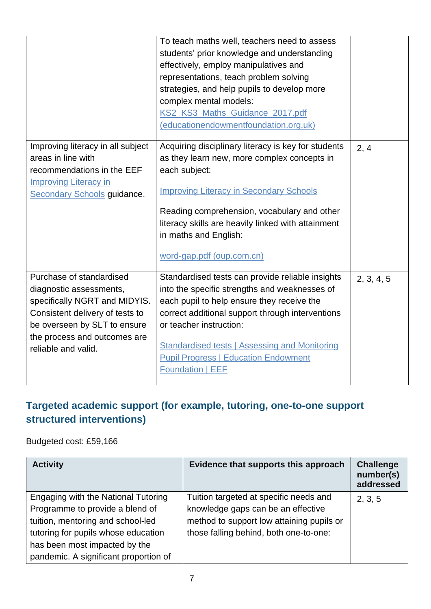|                                                                                                                                                                                                                | To teach maths well, teachers need to assess<br>students' prior knowledge and understanding<br>effectively, employ manipulatives and<br>representations, teach problem solving<br>strategies, and help pupils to develop more<br>complex mental models:<br>KS2_KS3_Maths_Guidance_2017.pdf<br>(educationendowmentfoundation.org.uk)                       |            |
|----------------------------------------------------------------------------------------------------------------------------------------------------------------------------------------------------------------|-----------------------------------------------------------------------------------------------------------------------------------------------------------------------------------------------------------------------------------------------------------------------------------------------------------------------------------------------------------|------------|
| Improving literacy in all subject<br>areas in line with<br>recommendations in the EEF<br><b>Improving Literacy in</b><br>Secondary Schools guidance.                                                           | Acquiring disciplinary literacy is key for students<br>as they learn new, more complex concepts in<br>each subject:<br><b>Improving Literacy in Secondary Schools</b><br>Reading comprehension, vocabulary and other<br>literacy skills are heavily linked with attainment<br>in maths and English:<br>word-gap.pdf (oup.com.cn)                          | 2, 4       |
| Purchase of standardised<br>diagnostic assessments,<br>specifically NGRT and MIDYIS.<br>Consistent delivery of tests to<br>be overseen by SLT to ensure<br>the process and outcomes are<br>reliable and valid. | Standardised tests can provide reliable insights<br>into the specific strengths and weaknesses of<br>each pupil to help ensure they receive the<br>correct additional support through interventions<br>or teacher instruction:<br>Standardised tests   Assessing and Monitoring<br><b>Pupil Progress   Education Endowment</b><br><b>Foundation   EEF</b> | 2, 3, 4, 5 |

### **Targeted academic support (for example, tutoring, one-to-one support structured interventions)**

Budgeted cost: £59,166

| <b>Activity</b>                       | Evidence that supports this approach      | <b>Challenge</b><br>number(s)<br>addressed |
|---------------------------------------|-------------------------------------------|--------------------------------------------|
| Engaging with the National Tutoring   | Tuition targeted at specific needs and    | 2, 3, 5                                    |
| Programme to provide a blend of       | knowledge gaps can be an effective        |                                            |
| tuition, mentoring and school-led     | method to support low attaining pupils or |                                            |
| tutoring for pupils whose education   | those falling behind, both one-to-one:    |                                            |
| has been most impacted by the         |                                           |                                            |
| pandemic. A significant proportion of |                                           |                                            |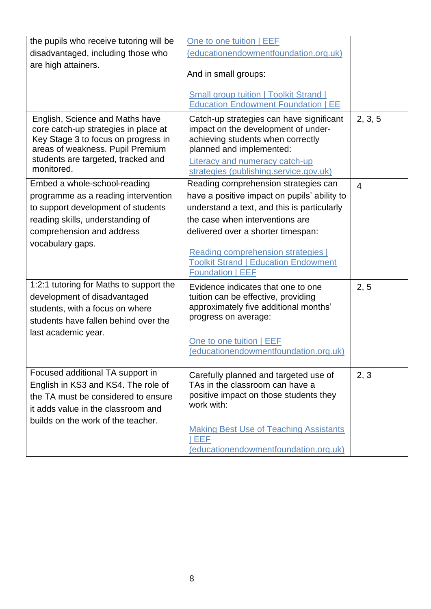| the pupils who receive tutoring will be                                                                                                                                                                | One to one tuition   EEF                                                                                                                                                                                                            |                |
|--------------------------------------------------------------------------------------------------------------------------------------------------------------------------------------------------------|-------------------------------------------------------------------------------------------------------------------------------------------------------------------------------------------------------------------------------------|----------------|
| disadvantaged, including those who                                                                                                                                                                     | (educationendowmentfoundation.org.uk)                                                                                                                                                                                               |                |
| are high attainers.                                                                                                                                                                                    | And in small groups:                                                                                                                                                                                                                |                |
|                                                                                                                                                                                                        | <b>Small group tuition   Toolkit Strand  </b><br><b>Education Endowment Foundation   EE</b>                                                                                                                                         |                |
| English, Science and Maths have<br>core catch-up strategies in place at<br>Key Stage 3 to focus on progress in<br>areas of weakness. Pupil Premium<br>students are targeted, tracked and<br>monitored. | Catch-up strategies can have significant<br>impact on the development of under-<br>achieving students when correctly<br>planned and implemented:<br><b>Literacy and numeracy catch-up</b><br>strategies (publishing.service.gov.uk) | 2, 3, 5        |
| Embed a whole-school-reading                                                                                                                                                                           | Reading comprehension strategies can                                                                                                                                                                                                | $\overline{4}$ |
| programme as a reading intervention                                                                                                                                                                    | have a positive impact on pupils' ability to                                                                                                                                                                                        |                |
| to support development of students                                                                                                                                                                     | understand a text, and this is particularly                                                                                                                                                                                         |                |
| reading skills, understanding of                                                                                                                                                                       | the case when interventions are                                                                                                                                                                                                     |                |
| comprehension and address                                                                                                                                                                              | delivered over a shorter timespan:                                                                                                                                                                                                  |                |
| vocabulary gaps.                                                                                                                                                                                       |                                                                                                                                                                                                                                     |                |
|                                                                                                                                                                                                        | <b>Reading comprehension strategies</b>  <br><b>Toolkit Strand   Education Endowment</b><br><b>Foundation   EEF</b>                                                                                                                 |                |
| 1:2:1 tutoring for Maths to support the<br>development of disadvantaged<br>students, with a focus on where<br>students have fallen behind over the                                                     | Evidence indicates that one to one<br>tuition can be effective, providing<br>approximately five additional months'<br>progress on average:                                                                                          | 2, 5           |
| last academic year.                                                                                                                                                                                    | One to one tuition   EEF<br>(educationendowmentfoundation.org.uk)                                                                                                                                                                   |                |
| Focused additional TA support in<br>English in KS3 and KS4. The role of<br>the TA must be considered to ensure<br>it adds value in the classroom and<br>builds on the work of the teacher.             | Carefully planned and targeted use of<br>TAs in the classroom can have a<br>positive impact on those students they<br>work with:                                                                                                    | 2, 3           |
|                                                                                                                                                                                                        | <b>Making Best Use of Teaching Assistants</b><br>EEF<br>(educationendowmentfoundation.org.uk)                                                                                                                                       |                |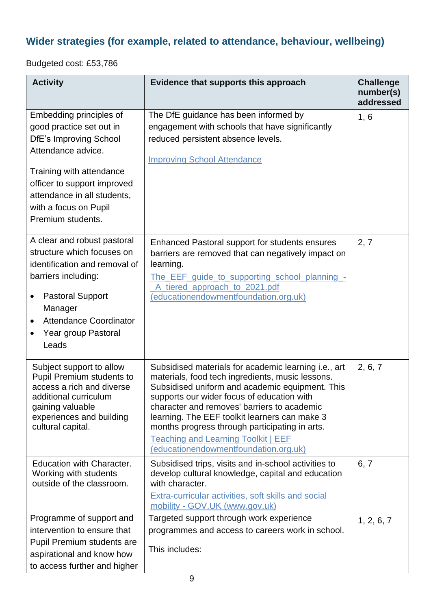## **Wider strategies (for example, related to attendance, behaviour, wellbeing)**

Budgeted cost: £53,786

| <b>Activity</b>                                                                                                                                                                                                                             | Evidence that supports this approach                                                                                                                                                                                                                                                                                                                                                                                                               | <b>Challenge</b><br>number(s)<br>addressed |
|---------------------------------------------------------------------------------------------------------------------------------------------------------------------------------------------------------------------------------------------|----------------------------------------------------------------------------------------------------------------------------------------------------------------------------------------------------------------------------------------------------------------------------------------------------------------------------------------------------------------------------------------------------------------------------------------------------|--------------------------------------------|
| Embedding principles of<br>good practice set out in<br>DfE's Improving School<br>Attendance advice.<br>Training with attendance<br>officer to support improved<br>attendance in all students,<br>with a focus on Pupil<br>Premium students. | The DfE guidance has been informed by<br>engagement with schools that have significantly<br>reduced persistent absence levels.<br><b>Improving School Attendance</b>                                                                                                                                                                                                                                                                               | 1, 6                                       |
| A clear and robust pastoral<br>structure which focuses on<br>identification and removal of<br>barriers including:<br><b>Pastoral Support</b><br>Manager<br><b>Attendance Coordinator</b><br>Year group Pastoral<br>Leads                    | Enhanced Pastoral support for students ensures<br>barriers are removed that can negatively impact on<br>learning.<br>The EEF quide to supporting school planning -<br>A tiered approach to 2021.pdf<br>(educationendowmentfoundation.org.uk)                                                                                                                                                                                                       | 2, 7                                       |
| Subject support to allow<br><b>Pupil Premium students to</b><br>access a rich and diverse<br>additional curriculum<br>gaining valuable<br>experiences and building<br>cultural capital.                                                     | Subsidised materials for academic learning i.e., art<br>materials, food tech ingredients, music lessons.<br>Subsidised uniform and academic equipment. This<br>supports our wider focus of education with<br>character and removes' barriers to academic<br>learning. The EEF toolkit learners can make 3<br>months progress through participating in arts.<br><b>Teaching and Learning Toolkit   EEF</b><br>(educationendowmentfoundation.org.uk) | 2, 6, 7                                    |
| Education with Character.<br>Working with students<br>outside of the classroom.                                                                                                                                                             | Subsidised trips, visits and in-school activities to<br>develop cultural knowledge, capital and education<br>with character.<br>Extra-curricular activities, soft skills and social<br>mobility - GOV.UK (www.gov.uk)                                                                                                                                                                                                                              | 6, 7                                       |
| Programme of support and<br>intervention to ensure that<br><b>Pupil Premium students are</b><br>aspirational and know how<br>to access further and higher                                                                                   | Targeted support through work experience<br>programmes and access to careers work in school.<br>This includes:                                                                                                                                                                                                                                                                                                                                     | 1, 2, 6, 7                                 |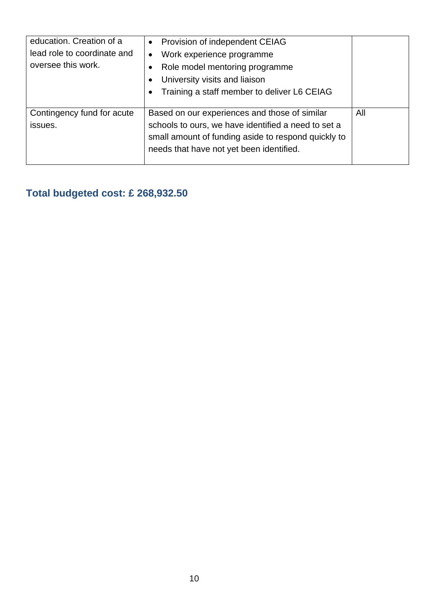| education. Creation of a<br>lead role to coordinate and<br>oversee this work. | Provision of independent CEIAG<br>$\bullet$<br>Work experience programme<br>$\bullet$<br>Role model mentoring programme<br>University visits and liaison<br>Training a staff member to deliver L6 CEIAG |     |
|-------------------------------------------------------------------------------|---------------------------------------------------------------------------------------------------------------------------------------------------------------------------------------------------------|-----|
| Contingency fund for acute<br>issues.                                         | Based on our experiences and those of similar<br>schools to ours, we have identified a need to set a<br>small amount of funding aside to respond quickly to<br>needs that have not yet been identified. | All |

## **Total budgeted cost: £ 268,932.50**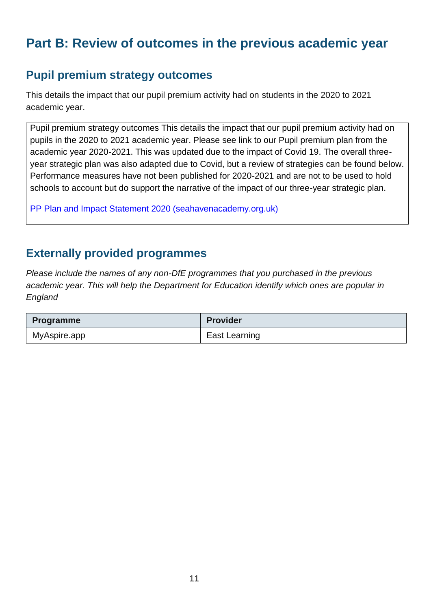## **Part B: Review of outcomes in the previous academic year**

#### **Pupil premium strategy outcomes**

This details the impact that our pupil premium activity had on students in the 2020 to 2021 academic year.

Pupil premium strategy outcomes This details the impact that our pupil premium activity had on pupils in the 2020 to 2021 academic year. Please see link to our Pupil premium plan from the academic year 2020-2021. This was updated due to the impact of Covid 19. The overall threeyear strategic plan was also adapted due to Covid, but a review of strategies can be found below. Performance measures have not been published for 2020-2021 and are not to be used to hold schools to account but do support the narrative of the impact of our three-year strategic plan.

[PP Plan and Impact Statement 2020 \(seahavenacademy.org.uk\)](https://www.seahavenacademy.org.uk/Portals/0/Library/Documents/Information/Pupil%20Premium/PP%20Plan%20and%20Impact%20Statement%202020.pdf?ver=p3kkMStBPwfOlL1SlJb9VQ%3d%3d)

#### **Externally provided programmes**

*Please include the names of any non-DfE programmes that you purchased in the previous academic year. This will help the Department for Education identify which ones are popular in England*

| Programme    | <b>Provider</b> |
|--------------|-----------------|
| MyAspire.app | East Learning   |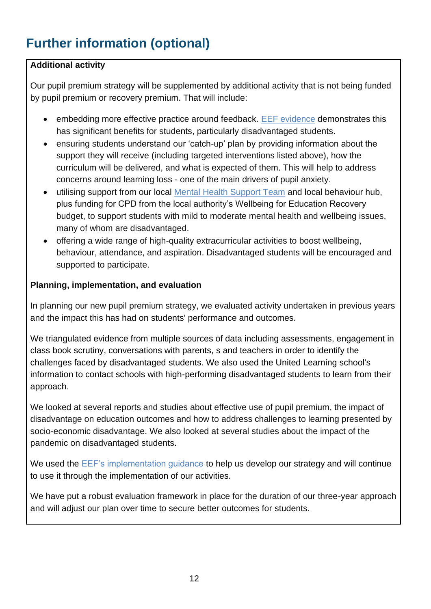# **Further information (optional)**

#### **Additional activity**

Our pupil premium strategy will be supplemented by additional activity that is not being funded by pupil premium or recovery premium. That will include:

- embedding more effective practice around feedback. [EEF evidence](https://educationendowmentfoundation.org.uk/education-evidence/teaching-learning-toolkit/feedback) demonstrates this has significant benefits for students, particularly disadvantaged students.
- ensuring students understand our 'catch-up' plan by providing information about the support they will receive (including targeted interventions listed above), how the curriculum will be delivered, and what is expected of them. This will help to address concerns around learning loss - one of the main drivers of pupil anxiety.
- utilising support from our local [Mental Health Support Team](https://www.gov.uk/guidance/mental-health-and-wellbeing-support-in-schools-and-colleges#MHST) and local behaviour hub, plus funding for CPD from the local authority's Wellbeing for Education Recovery budget, to support students with mild to moderate mental health and wellbeing issues, many of whom are disadvantaged.
- offering a wide range of high-quality extracurricular activities to boost wellbeing, behaviour, attendance, and aspiration. Disadvantaged students will be encouraged and supported to participate.

#### **Planning, implementation, and evaluation**

In planning our new pupil premium strategy, we evaluated activity undertaken in previous years and the impact this has had on students' performance and outcomes.

We triangulated evidence from multiple sources of data including assessments, engagement in class book scrutiny, conversations with parents, s and teachers in order to identify the challenges faced by disadvantaged students. We also used the United Learning school's information to contact schools with high-performing disadvantaged students to learn from their approach.

We looked at several reports and studies about effective use of pupil premium, the impact of disadvantage on education outcomes and how to address challenges to learning presented by socio-economic disadvantage. We also looked at several studies about the impact of the pandemic on disadvantaged students.

We used the [EEF's implementation guidance](https://educationendowmentfoundation.org.uk/education-evidence/guidance-reports/implementation) to help us develop our strategy and will continue to use it through the implementation of our activities.

We have put a robust evaluation framework in place for the duration of our three-year approach and will adjust our plan over time to secure better outcomes for students.